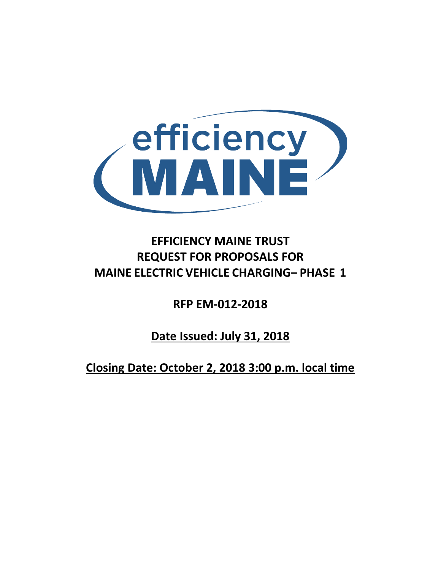

# **EFFICIENCY MAINE TRUST REQUEST FOR PROPOSALS FOR MAINE ELECTRIC VEHICLE CHARGING– PHASE 1**

**RFP EM-012-2018**

**Date Issued: July 31, 2018**

**Closing Date: October 2, 2018 3:00 p.m. local time**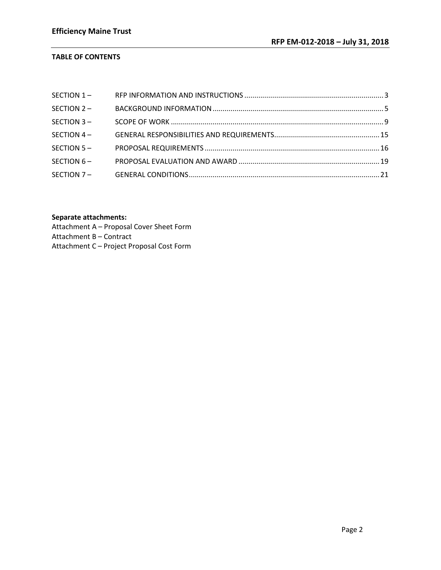# **TABLE OF CONTENTS**

| SECTION 2- |  |
|------------|--|
| SECTION 3- |  |
| SECTION 4- |  |
| SECTION 5- |  |
| SECTION 6- |  |
|            |  |

# **Separate attachments:**

Attachment A – Proposal Cover Sheet Form Attachment B – Contract Attachment C – Project Proposal Cost Form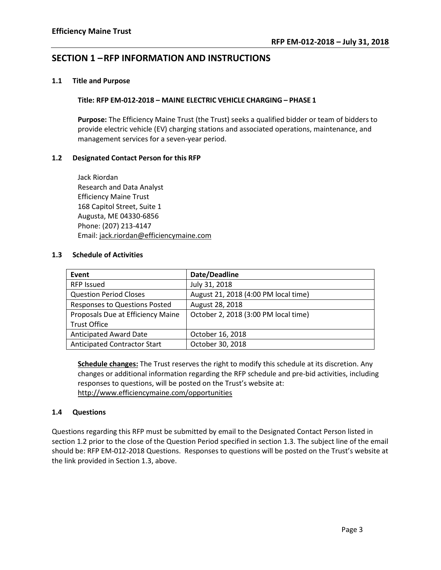# <span id="page-2-0"></span>**SECTION 1 –RFP INFORMATION AND INSTRUCTIONS**

#### **1.1 Title and Purpose**

#### **Title: RFP EM-012-2018 – MAINE ELECTRIC VEHICLE CHARGING – PHASE 1**

**Purpose:** The Efficiency Maine Trust (the Trust) seeks a qualified bidder or team of bidders to provide electric vehicle (EV) charging stations and associated operations, maintenance, and management services for a seven-year period.

# **1.2 Designated Contact Person for this RFP**

Jack Riordan Research and Data Analyst Efficiency Maine Trust 168 Capitol Street, Suite 1 Augusta, ME 04330-6856 Phone: (207) 213-4147 Email: jack.riordan@efficiencymaine.com

#### **1.3 Schedule of Activities**

| Event                                | Date/Deadline                        |
|--------------------------------------|--------------------------------------|
| <b>RFP Issued</b>                    | July 31, 2018                        |
| <b>Question Period Closes</b>        | August 21, 2018 (4:00 PM local time) |
| <b>Responses to Questions Posted</b> | August 28, 2018                      |
| Proposals Due at Efficiency Maine    | October 2, 2018 (3:00 PM local time) |
| <b>Trust Office</b>                  |                                      |
| <b>Anticipated Award Date</b>        | October 16, 2018                     |
| <b>Anticipated Contractor Start</b>  | October 30, 2018                     |

**Schedule changes:** The Trust reserves the right to modify this schedule at its discretion. Any changes or additional information regarding the RFP schedule and pre-bid activities, including responses to questions, will be posted on the Trust's website at: <http://www.efficiencymaine.com/opportunities>

# **1.4 Questions**

Questions regarding this RFP must be submitted by email to the Designated Contact Person listed in section 1.2 prior to the close of the Question Period specified in section 1.3. The subject line of the email should be: RFP EM-012-2018 Questions. Responses to questions will be posted on the Trust's website at the link provided in Section 1.3, above.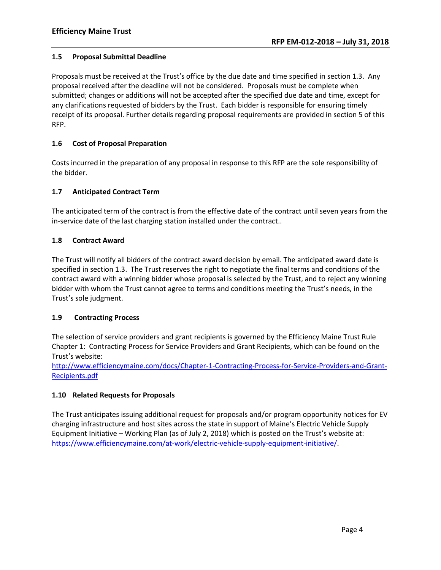### **1.5 Proposal Submittal Deadline**

Proposals must be received at the Trust's office by the due date and time specified in section 1.3. Any proposal received after the deadline will not be considered. Proposals must be complete when submitted; changes or additions will not be accepted after the specified due date and time, except for any clarifications requested of bidders by the Trust. Each bidder is responsible for ensuring timely receipt of its proposal. Further details regarding proposal requirements are provided in section 5 of this RFP.

# **1.6 Cost of Proposal Preparation**

Costs incurred in the preparation of any proposal in response to this RFP are the sole responsibility of the bidder.

# **1.7 Anticipated Contract Term**

The anticipated term of the contract is from the effective date of the contract until seven years from the in-service date of the last charging station installed under the contract..

#### **1.8 Contract Award**

The Trust will notify all bidders of the contract award decision by email. The anticipated award date is specified in section 1.3. The Trust reserves the right to negotiate the final terms and conditions of the contract award with a winning bidder whose proposal is selected by the Trust, and to reject any winning bidder with whom the Trust cannot agree to terms and conditions meeting the Trust's needs, in the Trust's sole judgment.

# **1.9 Contracting Process**

The selection of service providers and grant recipients is governed by the Efficiency Maine Trust Rule Chapter 1: Contracting Process for Service Providers and Grant Recipients, which can be found on the Trust's website:

[http://www.efficiencymaine.com/docs/Chapter-1-Contracting-Process-for-Service-Providers-and-Grant-](http://www.efficiencymaine.com/docs/Chapter-1-Contracting-Process-for-Service-Providers-and-Grant-Recipients.pdf)[Recipients.pdf](http://www.efficiencymaine.com/docs/Chapter-1-Contracting-Process-for-Service-Providers-and-Grant-Recipients.pdf)

# **1.10 Related Requests for Proposals**

The Trust anticipates issuing additional request for proposals and/or program opportunity notices for EV charging infrastructure and host sites across the state in support of Maine's Electric Vehicle Supply Equipment Initiative – Working Plan (as of July 2, 2018) which is posted on the Trust's website at: [https://www.efficiencymaine.com/at-work/electric-vehicle-supply-equipment-initiative/.](https://www.efficiencymaine.com/at-work/electric-vehicle-supply-equipment-initiative/)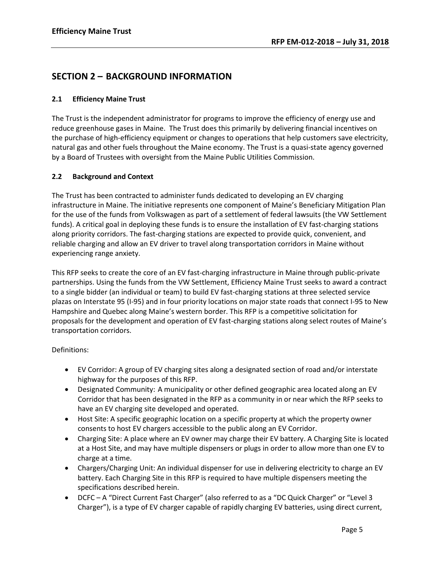# <span id="page-4-0"></span>**SECTION 2 – BACKGROUND INFORMATION**

# **2.1 Efficiency Maine Trust**

The Trust is the independent administrator for programs to improve the efficiency of energy use and reduce greenhouse gases in Maine. The Trust does this primarily by delivering financial incentives on the purchase of high-efficiency equipment or changes to operations that help customers save electricity, natural gas and other fuels throughout the Maine economy. The Trust is a quasi-state agency governed by a Board of Trustees with oversight from the Maine Public Utilities Commission.

# **2.2 Background and Context**

The Trust has been contracted to administer funds dedicated to developing an EV charging infrastructure in Maine. The initiative represents one component of Maine's Beneficiary Mitigation Plan for the use of the funds from Volkswagen as part of a settlement of federal lawsuits (the VW Settlement funds). A critical goal in deploying these funds is to ensure the installation of EV fast-charging stations along priority corridors. The fast-charging stations are expected to provide quick, convenient, and reliable charging and allow an EV driver to travel along transportation corridors in Maine without experiencing range anxiety.

This RFP seeks to create the core of an EV fast-charging infrastructure in Maine through public-private partnerships. Using the funds from the VW Settlement, Efficiency Maine Trust seeks to award a contract to a single bidder (an individual or team) to build EV fast-charging stations at three selected service plazas on Interstate 95 (I-95) and in four priority locations on major state roads that connect I-95 to New Hampshire and Quebec along Maine's western border. This RFP is a competitive solicitation for proposals for the development and operation of EV fast-charging stations along select routes of Maine's transportation corridors.

# Definitions:

- EV Corridor: A group of EV charging sites along a designated section of road and/or interstate highway for the purposes of this RFP.
- Designated Community: A municipality or other defined geographic area located along an EV Corridor that has been designated in the RFP as a community in or near which the RFP seeks to have an EV charging site developed and operated.
- Host Site: A specific geographic location on a specific property at which the property owner consents to host EV chargers accessible to the public along an EV Corridor.
- Charging Site: A place where an EV owner may charge their EV battery. A Charging Site is located at a Host Site, and may have multiple dispensers or plugs in order to allow more than one EV to charge at a time.
- Chargers/Charging Unit: An individual dispenser for use in delivering electricity to charge an EV battery. Each Charging Site in this RFP is required to have multiple dispensers meeting the specifications described herein.
- DCFC A "Direct Current Fast Charger" (also referred to as a "DC Quick Charger" or "Level 3 Charger"), is a type of EV charger capable of rapidly charging EV batteries, using direct current,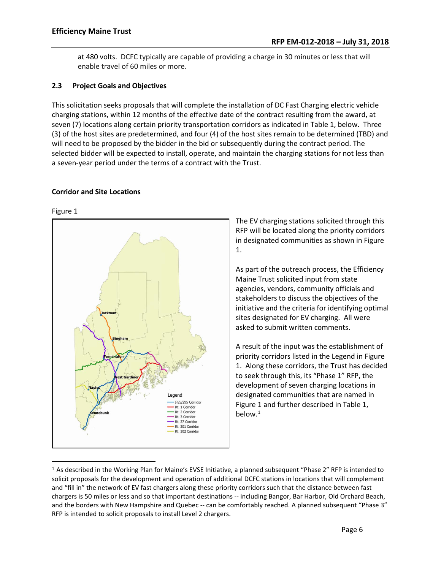at 480 volts. DCFC typically are capable of providing a charge in 30 minutes or less that will enable travel of 60 miles or more.

# **2.3 Project Goals and Objectives**

This solicitation seeks proposals that will complete the installation of DC Fast Charging electric vehicle charging stations, within 12 months of the effective date of the contract resulting from the award, at seven (7) locations along certain priority transportation corridors as indicated in Table 1, below. Three (3) of the host sites are predetermined, and four (4) of the host sites remain to be determined (TBD) and will need to be proposed by the bidder in the bid or subsequently during the contract period. The selected bidder will be expected to install, operate, and maintain the charging stations for not less than a seven-year period under the terms of a contract with the Trust.

# **Corridor and Site Locations**

#### Figure 1



The EV charging stations solicited through this RFP will be located along the priority corridors in designated communities as shown in Figure 1.

As part of the outreach process, the Efficiency Maine Trust solicited input from state agencies, vendors, community officials and stakeholders to discuss the objectives of the initiative and the criteria for identifying optimal sites designated for EV charging. All were asked to submit written comments.

A result of the input was the establishment of priority corridors listed in the Legend in Figure 1. Along these corridors, the Trust has decided to seek through this, its "Phase 1" RFP, the development of seven charging locations in designated communities that are named in Figure 1 and further described in Table 1, below. [1](#page-5-0)

<span id="page-5-0"></span> <sup>1</sup> As described in the Working Plan for Maine's EVSE Initiative, a planned subsequent "Phase 2" RFP is intended to solicit proposals for the development and operation of additional DCFC stations in locations that will complement and "fill in" the network of EV fast chargers along these priority corridors such that the distance between fast chargers is 50 miles or less and so that important destinations -- including Bangor, Bar Harbor, Old Orchard Beach, and the borders with New Hampshire and Quebec -- can be comfortably reached. A planned subsequent "Phase 3" RFP is intended to solicit proposals to install Level 2 chargers.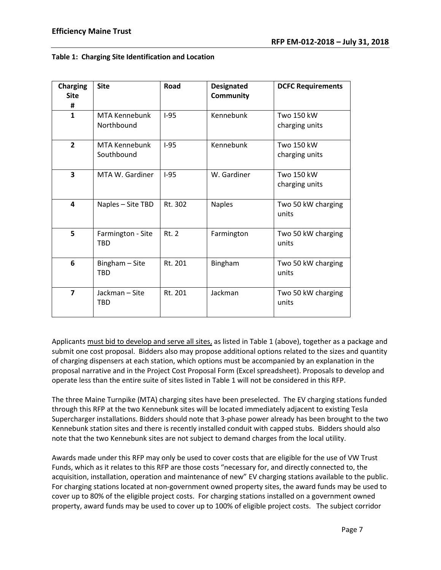#### **Table 1: Charging Site Identification and Location**

| <b>Charging</b><br><b>Site</b><br># | <b>Site</b>                     | Road         | <b>Designated</b><br>Community | <b>DCFC Requirements</b>            |
|-------------------------------------|---------------------------------|--------------|--------------------------------|-------------------------------------|
| $\mathbf{1}$                        | MTA Kennebunk<br>Northbound     | $I-95$       | Kennebunk                      | <b>Two 150 kW</b><br>charging units |
| $\overline{2}$                      | MTA Kennebunk<br>Southbound     | $I-95$       | Kennebunk                      | Two 150 kW<br>charging units        |
| 3                                   | MTA W. Gardiner                 | $I-95$       | W. Gardiner                    | Two 150 kW<br>charging units        |
| 4                                   | Naples - Site TBD               | Rt. 302      | <b>Naples</b>                  | Two 50 kW charging<br>units         |
| 5                                   | Farmington - Site<br><b>TBD</b> | <b>Rt. 2</b> | Farmington                     | Two 50 kW charging<br>units         |
| 6                                   | Bingham - Site<br><b>TBD</b>    | Rt. 201      | Bingham                        | Two 50 kW charging<br>units         |
| $\overline{7}$                      | Jackman-Site<br><b>TBD</b>      | Rt. 201      | Jackman                        | Two 50 kW charging<br>units         |

Applicants must bid to develop and serve all sites, as listed in Table 1 (above), together as a package and submit one cost proposal. Bidders also may propose additional options related to the sizes and quantity of charging dispensers at each station, which options must be accompanied by an explanation in the proposal narrative and in the Project Cost Proposal Form (Excel spreadsheet). Proposals to develop and operate less than the entire suite of sites listed in Table 1 will not be considered in this RFP.

The three Maine Turnpike (MTA) charging sites have been preselected. The EV charging stations funded through this RFP at the two Kennebunk sites will be located immediately adjacent to existing Tesla Supercharger installations. Bidders should note that 3-phase power already has been brought to the two Kennebunk station sites and there is recently installed conduit with capped stubs. Bidders should also note that the two Kennebunk sites are not subject to demand charges from the local utility.

Awards made under this RFP may only be used to cover costs that are eligible for the use of VW Trust Funds, which as it relates to this RFP are those costs "necessary for, and directly connected to, the acquisition, installation, operation and maintenance of new" EV charging stations available to the public. For charging stations located at non-government owned property sites, the award funds may be used to cover up to 80% of the eligible project costs. For charging stations installed on a government owned property, award funds may be used to cover up to 100% of eligible project costs. The subject corridor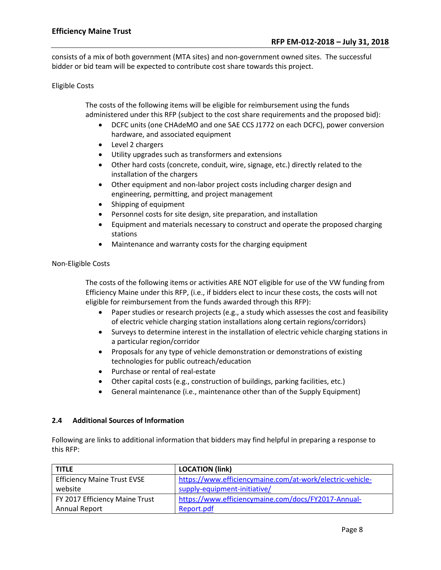consists of a mix of both government (MTA sites) and non-government owned sites. The successful bidder or bid team will be expected to contribute cost share towards this project.

#### Eligible Costs

The costs of the following items will be eligible for reimbursement using the funds administered under this RFP (subject to the cost share requirements and the proposed bid):

- DCFC units (one CHAdeMO and one SAE CCS J1772 on each DCFC), power conversion hardware, and associated equipment
- Level 2 chargers
- Utility upgrades such as transformers and extensions
- Other hard costs (concrete, conduit, wire, signage, etc.) directly related to the installation of the chargers
- Other equipment and non-labor project costs including charger design and engineering, permitting, and project management
- Shipping of equipment
- Personnel costs for site design, site preparation, and installation
- Equipment and materials necessary to construct and operate the proposed charging stations
- Maintenance and warranty costs for the charging equipment

#### Non-Eligible Costs

The costs of the following items or activities ARE NOT eligible for use of the VW funding from Efficiency Maine under this RFP, (i.e., if bidders elect to incur these costs, the costs will not eligible for reimbursement from the funds awarded through this RFP):

- Paper studies or research projects (e.g., a study which assesses the cost and feasibility of electric vehicle charging station installations along certain regions/corridors)
- Surveys to determine interest in the installation of electric vehicle charging stations in a particular region/corridor
- Proposals for any type of vehicle demonstration or demonstrations of existing technologies for public outreach/education
- Purchase or rental of real-estate
- Other capital costs (e.g., construction of buildings, parking facilities, etc.)
- General maintenance (i.e., maintenance other than of the Supply Equipment)

#### **2.4 Additional Sources of Information**

Following are links to additional information that bidders may find helpful in preparing a response to this RFP:

| <b>TITLE</b>                       | <b>LOCATION (link)</b>                                    |
|------------------------------------|-----------------------------------------------------------|
| <b>Efficiency Maine Trust EVSE</b> | https://www.efficiencymaine.com/at-work/electric-vehicle- |
| website                            | supply-equipment-initiative/                              |
| FY 2017 Efficiency Maine Trust     | https://www.efficiencymaine.com/docs/FY2017-Annual-       |
| Annual Report                      | Report.pdf                                                |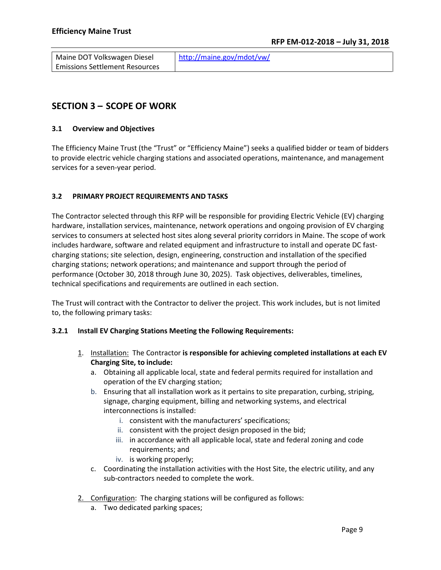| Maine DOT Volkswagen Diesel           | http://maine.gov/mdot/vw/ |
|---------------------------------------|---------------------------|
| <b>Emissions Settlement Resources</b> |                           |

# <span id="page-8-0"></span>**SECTION 3 – SCOPE OF WORK**

# **3.1 Overview and Objectives**

The Efficiency Maine Trust (the "Trust" or "Efficiency Maine") seeks a qualified bidder or team of bidders to provide electric vehicle charging stations and associated operations, maintenance, and management services for a seven-year period.

# **3.2 PRIMARY PROJECT REQUIREMENTS AND TASKS**

The Contractor selected through this RFP will be responsible for providing Electric Vehicle (EV) charging hardware, installation services, maintenance, network operations and ongoing provision of EV charging services to consumers at selected host sites along several priority corridors in Maine. The scope of work includes hardware, software and related equipment and infrastructure to install and operate DC fastcharging stations; site selection, design, engineering, construction and installation of the specified charging stations; network operations; and maintenance and support through the period of performance (October 30, 2018 through June 30, 2025). Task objectives, deliverables, timelines, technical specifications and requirements are outlined in each section.

The Trust will contract with the Contractor to deliver the project. This work includes, but is not limited to, the following primary tasks:

# **3.2.1 Install EV Charging Stations Meeting the Following Requirements:**

- 1. Installation: The Contractor **is responsible for achieving completed installations at each EV Charging Site, to include:**
	- a. Obtaining all applicable local, state and federal permits required for installation and operation of the EV charging station;
	- b. Ensuring that all installation work as it pertains to site preparation, curbing, striping, signage, charging equipment, billing and networking systems, and electrical interconnections is installed:
		- i. consistent with the manufacturers' specifications;
		- ii. consistent with the project design proposed in the bid;
		- iii. in accordance with all applicable local, state and federal zoning and code requirements; and
		- iv. is working properly;
	- c. Coordinating the installation activities with the Host Site, the electric utility, and any sub-contractors needed to complete the work.
- 2. Configuration: The charging stations will be configured as follows:
	- a. Two dedicated parking spaces;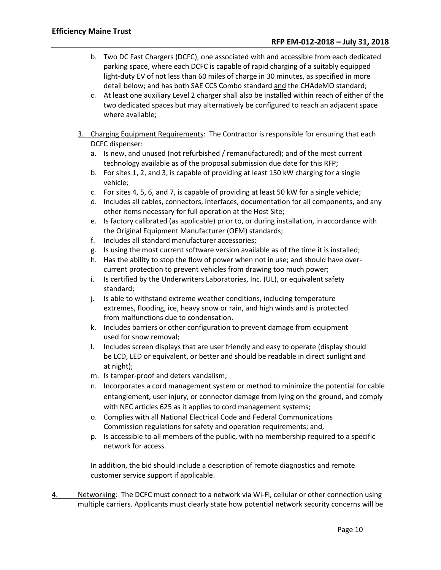- b. Two DC Fast Chargers (DCFC), one associated with and accessible from each dedicated parking space, where each DCFC is capable of rapid charging of a suitably equipped light-duty EV of not less than 60 miles of charge in 30 minutes, as specified in more detail below; and has both SAE CCS Combo standard and the CHAdeMO standard;
- c. At least one auxiliary Level 2 charger shall also be installed within reach of either of the two dedicated spaces but may alternatively be configured to reach an adjacent space where available;
- 3. Charging Equipment Requirements: The Contractor is responsible for ensuring that each DCFC dispenser:
	- a. Is new, and unused (not refurbished / remanufactured); and of the most current technology available as of the proposal submission due date for this RFP;
	- b. For sites 1, 2, and 3, is capable of providing at least 150 kW charging for a single vehicle;
	- c. For sites 4, 5, 6, and 7, is capable of providing at least 50 kW for a single vehicle;
	- d. Includes all cables, connectors, interfaces, documentation for all components, and any other items necessary for full operation at the Host Site;
	- e. Is factory calibrated (as applicable) prior to, or during installation, in accordance with the Original Equipment Manufacturer (OEM) standards;
	- f. Includes all standard manufacturer accessories;
	- g. Is using the most current software version available as of the time it is installed;
	- h. Has the ability to stop the flow of power when not in use; and should have overcurrent protection to prevent vehicles from drawing too much power;
	- i. Is certified by the Underwriters Laboratories, Inc. (UL), or equivalent safety standard;
	- j. Is able to withstand extreme weather conditions, including temperature extremes, flooding, ice, heavy snow or rain, and high winds and is protected from malfunctions due to condensation.
	- k. Includes barriers or other configuration to prevent damage from equipment used for snow removal;
	- l. Includes screen displays that are user friendly and easy to operate (display should be LCD, LED or equivalent, or better and should be readable in direct sunlight and at night);
	- m. Is tamper-proof and deters vandalism;
	- n. Incorporates a cord management system or method to minimize the potential for cable entanglement, user injury, or connector damage from lying on the ground, and comply with NEC articles 625 as it applies to cord management systems;
	- o. Complies with all National Electrical Code and Federal Communications Commission regulations for safety and operation requirements; and,
	- p. Is accessible to all members of the public, with no membership required to a specific network for access.

In addition, the bid should include a description of remote diagnostics and remote customer service support if applicable.

4. Networking: The DCFC must connect to a network via Wi-Fi, cellular or other connection using multiple carriers. Applicants must clearly state how potential network security concerns will be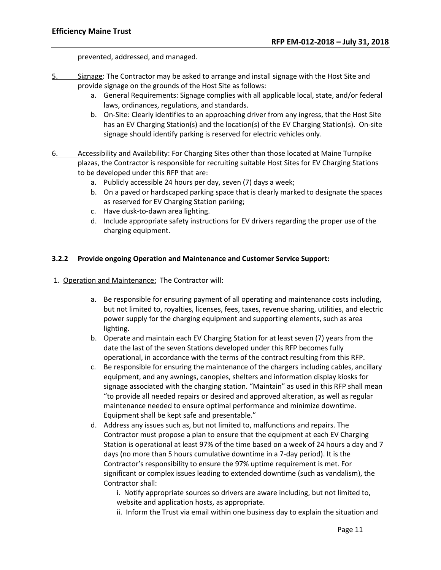prevented, addressed, and managed.

- 5. Signage: The Contractor may be asked to arrange and install signage with the Host Site and provide signage on the grounds of the Host Site as follows:
	- a. General Requirements: Signage complies with all applicable local, state, and/or federal laws, ordinances, regulations, and standards.
	- b. On-Site: Clearly identifies to an approaching driver from any ingress, that the Host Site has an EV Charging Station(s) and the location(s) of the EV Charging Station(s). On-site signage should identify parking is reserved for electric vehicles only.
- 6. Accessibility and Availability: For Charging Sites other than those located at Maine Turnpike plazas, the Contractor is responsible for recruiting suitable Host Sites for EV Charging Stations to be developed under this RFP that are:
	- a. Publicly accessible 24 hours per day, seven (7) days a week;
	- b. On a paved or hardscaped parking space that is clearly marked to designate the spaces as reserved for EV Charging Station parking;
	- c. Have dusk-to-dawn area lighting.
	- d. Include appropriate safety instructions for EV drivers regarding the proper use of the charging equipment.

# **3.2.2 Provide ongoing Operation and Maintenance and Customer Service Support:**

- 1. Operation and Maintenance: The Contractor will:
	- a. Be responsible for ensuring payment of all operating and maintenance costs including, but not limited to, royalties, licenses, fees, taxes, revenue sharing, utilities, and electric power supply for the charging equipment and supporting elements, such as area lighting.
	- b. Operate and maintain each EV Charging Station for at least seven (7) years from the date the last of the seven Stations developed under this RFP becomes fully operational, in accordance with the terms of the contract resulting from this RFP.
	- c. Be responsible for ensuring the maintenance of the chargers including cables, ancillary equipment, and any awnings, canopies, shelters and information display kiosks for signage associated with the charging station. "Maintain" as used in this RFP shall mean "to provide all needed repairs or desired and approved alteration, as well as regular maintenance needed to ensure optimal performance and minimize downtime. Equipment shall be kept safe and presentable."
	- d. Address any issues such as, but not limited to, malfunctions and repairs. The Contractor must propose a plan to ensure that the equipment at each EV Charging Station is operational at least 97% of the time based on a week of 24 hours a day and 7 days (no more than 5 hours cumulative downtime in a 7-day period). It is the Contractor's responsibility to ensure the 97% uptime requirement is met. For significant or complex issues leading to extended downtime (such as vandalism), the Contractor shall:

i. Notify appropriate sources so drivers are aware including, but not limited to, website and application hosts, as appropriate.

ii. Inform the Trust via email within one business day to explain the situation and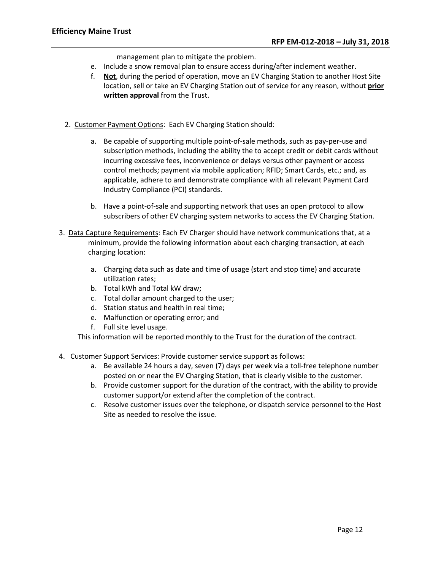management plan to mitigate the problem.

- e. Include a snow removal plan to ensure access during/after inclement weather.
- f. **Not**, during the period of operation, move an EV Charging Station to another Host Site location, sell or take an EV Charging Station out of service for any reason, without **prior written approval** from the Trust.
- 2. Customer Payment Options: Each EV Charging Station should:
	- a. Be capable of supporting multiple point-of-sale methods, such as pay-per-use and subscription methods, including the ability the to accept credit or debit cards without incurring excessive fees, inconvenience or delays versus other payment or access control methods; payment via mobile application; RFID; Smart Cards, etc.; and, as applicable, adhere to and demonstrate compliance with all relevant Payment Card Industry Compliance (PCI) standards.
	- b. Have a point-of-sale and supporting network that uses an open protocol to allow subscribers of other EV charging system networks to access the EV Charging Station.
- 3. Data Capture Requirements: Each EV Charger should have network communications that, at a minimum, provide the following information about each charging transaction, at each charging location:
	- a. Charging data such as date and time of usage (start and stop time) and accurate utilization rates;
	- b. Total kWh and Total kW draw;
	- c. Total dollar amount charged to the user;
	- d. Station status and health in real time;
	- e. Malfunction or operating error; and
	- f. Full site level usage.

This information will be reported monthly to the Trust for the duration of the contract.

- 4. Customer Support Services: Provide customer service support as follows:
	- a. Be available 24 hours a day, seven (7) days per week via a toll-free telephone number posted on or near the EV Charging Station, that is clearly visible to the customer.
	- b. Provide customer support for the duration of the contract, with the ability to provide customer support/or extend after the completion of the contract.
	- c. Resolve customer issues over the telephone, or dispatch service personnel to the Host Site as needed to resolve the issue.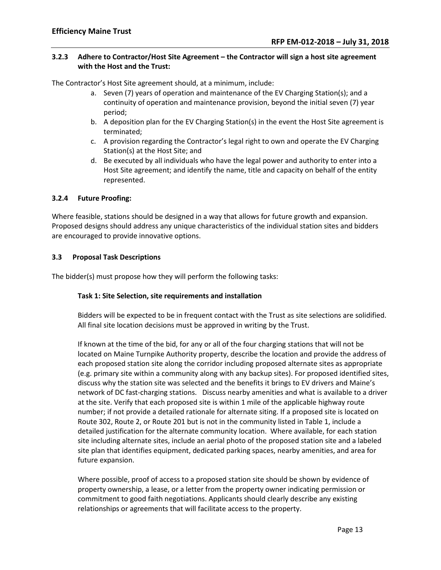# **3.2.3 Adhere to Contractor/Host Site Agreement – the Contractor will sign a host site agreement with the Host and the Trust:**

The Contractor's Host Site agreement should, at a minimum, include:

- a. Seven (7) years of operation and maintenance of the EV Charging Station(s); and a continuity of operation and maintenance provision, beyond the initial seven (7) year period;
- b. A deposition plan for the EV Charging Station(s) in the event the Host Site agreement is terminated;
- c. A provision regarding the Contractor's legal right to own and operate the EV Charging Station(s) at the Host Site; and
- d. Be executed by all individuals who have the legal power and authority to enter into a Host Site agreement; and identify the name, title and capacity on behalf of the entity represented.

#### **3.2.4 Future Proofing:**

Where feasible, stations should be designed in a way that allows for future growth and expansion. Proposed designs should address any unique characteristics of the individual station sites and bidders are encouraged to provide innovative options.

#### **3.3 Proposal Task Descriptions**

The bidder(s) must propose how they will perform the following tasks:

#### **Task 1: Site Selection, site requirements and installation**

Bidders will be expected to be in frequent contact with the Trust as site selections are solidified. All final site location decisions must be approved in writing by the Trust.

If known at the time of the bid, for any or all of the four charging stations that will not be located on Maine Turnpike Authority property, describe the location and provide the address of each proposed station site along the corridor including proposed alternate sites as appropriate (e.g. primary site within a community along with any backup sites). For proposed identified sites, discuss why the station site was selected and the benefits it brings to EV drivers and Maine's network of DC fast-charging stations. Discuss nearby amenities and what is available to a driver at the site. Verify that each proposed site is within 1 mile of the applicable highway route number; if not provide a detailed rationale for alternate siting. If a proposed site is located on Route 302, Route 2, or Route 201 but is not in the community listed in Table 1, include a detailed justification for the alternate community location. Where available, for each station site including alternate sites, include an aerial photo of the proposed station site and a labeled site plan that identifies equipment, dedicated parking spaces, nearby amenities, and area for future expansion.

Where possible, proof of access to a proposed station site should be shown by evidence of property ownership, a lease, or a letter from the property owner indicating permission or commitment to good faith negotiations. Applicants should clearly describe any existing relationships or agreements that will facilitate access to the property.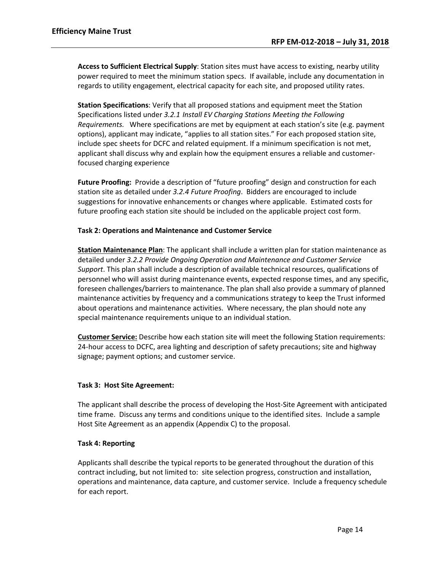**Access to Sufficient Electrical Supply**: Station sites must have access to existing, nearby utility power required to meet the minimum station specs. If available, include any documentation in regards to utility engagement, electrical capacity for each site, and proposed utility rates.

**Station Specifications**: Verify that all proposed stations and equipment meet the Station Specifications listed under *3.2.1 Install EV Charging Stations Meeting the Following Requirements.* Where specifications are met by equipment at each station's site (e.g. payment options), applicant may indicate, "applies to all station sites." For each proposed station site, include spec sheets for DCFC and related equipment. If a minimum specification is not met, applicant shall discuss why and explain how the equipment ensures a reliable and customerfocused charging experience

**Future Proofing:** Provide a description of "future proofing" design and construction for each station site as detailed under *3.2.4 Future Proofing*. Bidders are encouraged to include suggestions for innovative enhancements or changes where applicable. Estimated costs for future proofing each station site should be included on the applicable project cost form.

#### **Task 2: Operations and Maintenance and Customer Service**

**Station Maintenance Plan**: The applicant shall include a written plan for station maintenance as detailed under *3.2.2 Provide Ongoing Operation and Maintenance and Customer Service Support*. This plan shall include a description of available technical resources, qualifications of personnel who will assist during maintenance events, expected response times, and any specific, foreseen challenges/barriers to maintenance. The plan shall also provide a summary of planned maintenance activities by frequency and a communications strategy to keep the Trust informed about operations and maintenance activities. Where necessary, the plan should note any special maintenance requirements unique to an individual station.

**Customer Service:** Describe how each station site will meet the following Station requirements: 24-hour access to DCFC, area lighting and description of safety precautions; site and highway signage; payment options; and customer service.

#### **Task 3: Host Site Agreement:**

The applicant shall describe the process of developing the Host-Site Agreement with anticipated time frame. Discuss any terms and conditions unique to the identified sites. Include a sample Host Site Agreement as an appendix (Appendix C) to the proposal.

#### **Task 4: Reporting**

Applicants shall describe the typical reports to be generated throughout the duration of this contract including, but not limited to: site selection progress, construction and installation, operations and maintenance, data capture, and customer service. Include a frequency schedule for each report.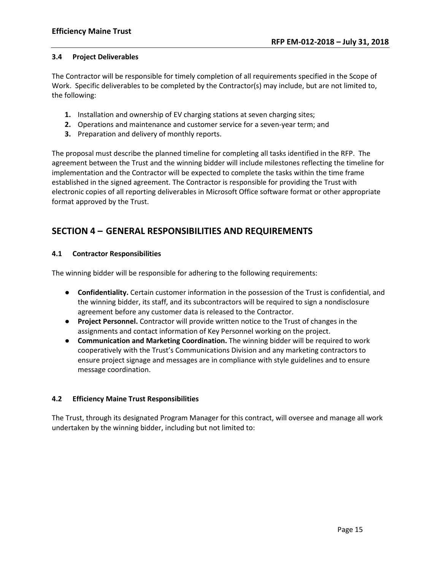#### **3.4 Project Deliverables**

The Contractor will be responsible for timely completion of all requirements specified in the Scope of Work. Specific deliverables to be completed by the Contractor(s) may include, but are not limited to, the following:

- **1.** Installation and ownership of EV charging stations at seven charging sites;
- **2.** Operations and maintenance and customer service for a seven-year term; and
- **3.** Preparation and delivery of monthly reports.

The proposal must describe the planned timeline for completing all tasks identified in the RFP. The agreement between the Trust and the winning bidder will include milestones reflecting the timeline for implementation and the Contractor will be expected to complete the tasks within the time frame established in the signed agreement. The Contractor is responsible for providing the Trust with electronic copies of all reporting deliverables in Microsoft Office software format or other appropriate format approved by the Trust.

# <span id="page-14-0"></span>**SECTION 4 – GENERAL RESPONSIBILITIES AND REQUIREMENTS**

# **4.1 Contractor Responsibilities**

The winning bidder will be responsible for adhering to the following requirements:

- **Confidentiality.** Certain customer information in the possession of the Trust is confidential, and the winning bidder, its staff, and its subcontractors will be required to sign a nondisclosure agreement before any customer data is released to the Contractor.
- **Project Personnel.** Contractor will provide written notice to the Trust of changes in the assignments and contact information of Key Personnel working on the project.
- **Communication and Marketing Coordination.** The winning bidder will be required to work cooperatively with the Trust's Communications Division and any marketing contractors to ensure project signage and messages are in compliance with style guidelines and to ensure message coordination.

# **4.2 Efficiency Maine Trust Responsibilities**

The Trust, through its designated Program Manager for this contract, will oversee and manage all work undertaken by the winning bidder, including but not limited to: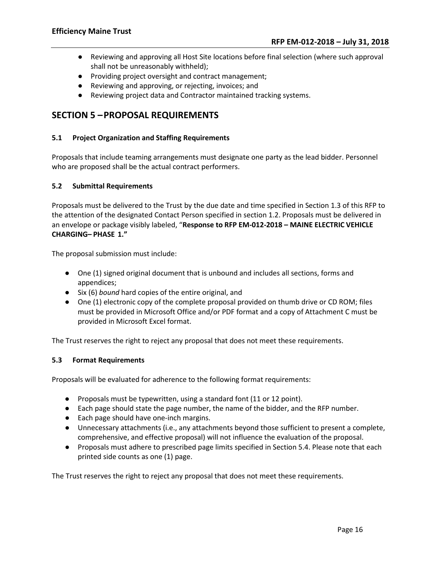- Reviewing and approving all Host Site locations before final selection (where such approval shall not be unreasonably withheld);
- Providing project oversight and contract management;
- Reviewing and approving, or rejecting, invoices; and
- Reviewing project data and Contractor maintained tracking systems.

# <span id="page-15-0"></span>**SECTION 5 –PROPOSAL REQUIREMENTS**

#### **5.1 Project Organization and Staffing Requirements**

Proposals that include teaming arrangements must designate one party as the lead bidder. Personnel who are proposed shall be the actual contract performers.

#### **5.2 Submittal Requirements**

Proposals must be delivered to the Trust by the due date and time specified in Section 1.3 of this RFP to the attention of the designated Contact Person specified in section 1.2. Proposals must be delivered in an envelope or package visibly labeled, "**Response to RFP EM-012-2018 – MAINE ELECTRIC VEHICLE CHARGING– PHASE 1."**

The proposal submission must include:

- One (1) signed original document that is unbound and includes all sections, forms and appendices;
- Six (6) *bound* hard copies of the entire original, and
- One (1) electronic copy of the complete proposal provided on thumb drive or CD ROM; files must be provided in Microsoft Office and/or PDF format and a copy of Attachment C must be provided in Microsoft Excel format.

The Trust reserves the right to reject any proposal that does not meet these requirements.

#### **5.3 Format Requirements**

Proposals will be evaluated for adherence to the following format requirements:

- Proposals must be typewritten, using a standard font (11 or 12 point).
- Each page should state the page number, the name of the bidder, and the RFP number.
- Each page should have one-inch margins.
- Unnecessary attachments (i.e., any attachments beyond those sufficient to present a complete, comprehensive, and effective proposal) will not influence the evaluation of the proposal.
- Proposals must adhere to prescribed page limits specified in Section 5.4. Please note that each printed side counts as one (1) page.

The Trust reserves the right to reject any proposal that does not meet these requirements.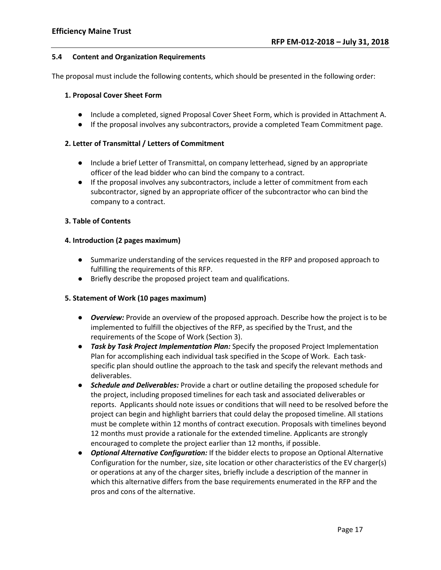#### **5.4 Content and Organization Requirements**

The proposal must include the following contents, which should be presented in the following order:

#### **1. Proposal Cover Sheet Form**

- Include a completed, signed Proposal Cover Sheet Form, which is provided in Attachment A.
- If the proposal involves any subcontractors, provide a completed Team Commitment page.

#### **2. Letter of Transmittal / Letters of Commitment**

- Include a brief Letter of Transmittal, on company letterhead, signed by an appropriate officer of the lead bidder who can bind the company to a contract.
- If the proposal involves any subcontractors, include a letter of commitment from each subcontractor, signed by an appropriate officer of the subcontractor who can bind the company to a contract.

#### **3. Table of Contents**

#### **4. Introduction (2 pages maximum)**

- Summarize understanding of the services requested in the RFP and proposed approach to fulfilling the requirements of this RFP.
- Briefly describe the proposed project team and qualifications.

#### **5. Statement of Work (10 pages maximum)**

- *Overview:* Provide an overview of the proposed approach. Describe how the project is to be implemented to fulfill the objectives of the RFP, as specified by the Trust, and the requirements of the Scope of Work (Section 3).
- *Task by Task Project Implementation Plan:* Specify the proposed Project Implementation Plan for accomplishing each individual task specified in the Scope of Work. Each taskspecific plan should outline the approach to the task and specify the relevant methods and deliverables.
- *Schedule and Deliverables:* Provide a chart or outline detailing the proposed schedule for the project, including proposed timelines for each task and associated deliverables or reports. Applicants should note issues or conditions that will need to be resolved before the project can begin and highlight barriers that could delay the proposed timeline. All stations must be complete within 12 months of contract execution. Proposals with timelines beyond 12 months must provide a rationale for the extended timeline. Applicants are strongly encouraged to complete the project earlier than 12 months, if possible.
- *Optional Alternative Configuration:* If the bidder elects to propose an Optional Alternative Configuration for the number, size, site location or other characteristics of the EV charger(s) or operations at any of the charger sites, briefly include a description of the manner in which this alternative differs from the base requirements enumerated in the RFP and the pros and cons of the alternative.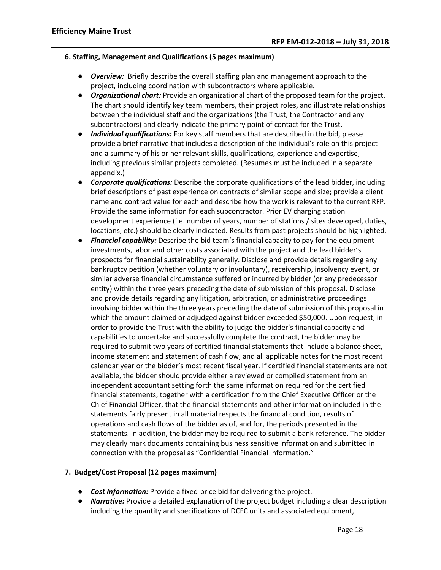### **6. Staffing, Management and Qualifications (5 pages maximum)**

- *Overview:* Briefly describe the overall staffing plan and management approach to the project, including coordination with subcontractors where applicable.
- *Organizational chart:* Provide an organizational chart of the proposed team for the project. The chart should identify key team members, their project roles, and illustrate relationships between the individual staff and the organizations (the Trust, the Contractor and any subcontractors) and clearly indicate the primary point of contact for the Trust.
- *Individual qualifications:* For key staff members that are described in the bid, please provide a brief narrative that includes a description of the individual's role on this project and a summary of his or her relevant skills, qualifications, experience and expertise, including previous similar projects completed. (Resumes must be included in a separate appendix.)
- *Corporate qualifications:* Describe the corporate qualifications of the lead bidder, including brief descriptions of past experience on contracts of similar scope and size; provide a client name and contract value for each and describe how the work is relevant to the current RFP. Provide the same information for each subcontractor. Prior EV charging station development experience (i.e. number of years, number of stations / sites developed, duties, locations, etc.) should be clearly indicated. Results from past projects should be highlighted.
- *Financial capability:* Describe the bid team's financial capacity to pay for the equipment investments, labor and other costs associated with the project and the lead bidder's prospects for financial sustainability generally. Disclose and provide details regarding any bankruptcy petition (whether voluntary or involuntary), receivership, insolvency event, or similar adverse financial circumstance suffered or incurred by bidder (or any predecessor entity) within the three years preceding the date of submission of this proposal. Disclose and provide details regarding any litigation, arbitration, or administrative proceedings involving bidder within the three years preceding the date of submission of this proposal in which the amount claimed or adjudged against bidder exceeded \$50,000. Upon request, in order to provide the Trust with the ability to judge the bidder's financial capacity and capabilities to undertake and successfully complete the contract, the bidder may be required to submit two years of certified financial statements that include a balance sheet, income statement and statement of cash flow, and all applicable notes for the most recent calendar year or the bidder's most recent fiscal year. If certified financial statements are not available, the bidder should provide either a reviewed or compiled statement from an independent accountant setting forth the same information required for the certified financial statements, together with a certification from the Chief Executive Officer or the Chief Financial Officer, that the financial statements and other information included in the statements fairly present in all material respects the financial condition, results of operations and cash flows of the bidder as of, and for, the periods presented in the statements. In addition, the bidder may be required to submit a bank reference. The bidder may clearly mark documents containing business sensitive information and submitted in connection with the proposal as "Confidential Financial Information."

# **7. Budget/Cost Proposal (12 pages maximum)**

- *Cost Information:* Provide a fixed-price bid for delivering the project.
- *Narrative:* Provide a detailed explanation of the project budget including a clear description including the quantity and specifications of DCFC units and associated equipment,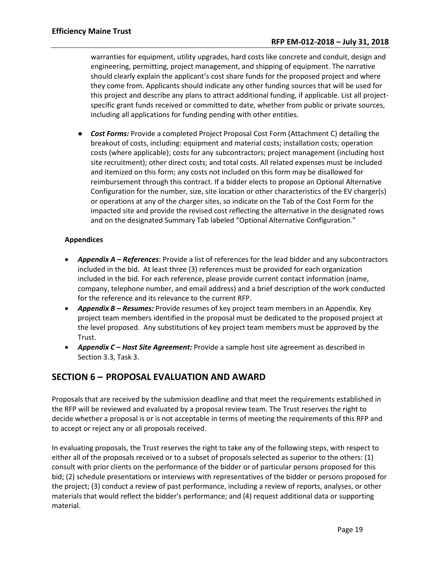warranties for equipment, utility upgrades, hard costs like concrete and conduit, design and engineering, permitting, project management, and shipping of equipment. The narrative should clearly explain the applicant's cost share funds for the proposed project and where they come from. Applicants should indicate any other funding sources that will be used for this project and describe any plans to attract additional funding, if applicable. List all projectspecific grant funds received or committed to date, whether from public or private sources, including all applications for funding pending with other entities.

● *Cost Forms:* Provide a completed Project Proposal Cost Form (Attachment C) detailing the breakout of costs, including: equipment and material costs; installation costs; operation costs (where applicable); costs for any subcontractors; project management (including host site recruitment); other direct costs; and total costs. All related expenses must be included and itemized on this form; any costs not included on this form may be disallowed for reimbursement through this contract. If a bidder elects to propose an Optional Alternative Configuration for the number, size, site location or other characteristics of the EV charger(s) or operations at any of the charger sites, so indicate on the Tab of the Cost Form for the impacted site and provide the revised cost reflecting the alternative in the designated rows and on the designated Summary Tab labeled "Optional Alternative Configuration."

# **Appendices**

- *Appendix A – References*: Provide a list of references for the lead bidder and any subcontractors included in the bid. At least three (3) references must be provided for each organization included in the bid. For each reference, please provide current contact information (name, company, telephone number, and email address) and a brief description of the work conducted for the reference and its relevance to the current RFP.
- *Appendix B – Resumes:* Provide resumes of key project team members in an Appendix. Key project team members identified in the proposal must be dedicated to the proposed project at the level proposed. Any substitutions of key project team members must be approved by the Trust.
- <span id="page-18-0"></span>• *Appendix C – Host Site Agreement:* Provide a sample host site agreement as described in Section 3.3, Task 3.

# **SECTION 6 – PROPOSAL EVALUATION AND AWARD**

Proposals that are received by the submission deadline and that meet the requirements established in the RFP will be reviewed and evaluated by a proposal review team. The Trust reserves the right to decide whether a proposal is or is not acceptable in terms of meeting the requirements of this RFP and to accept or reject any or all proposals received.

In evaluating proposals, the Trust reserves the right to take any of the following steps, with respect to either all of the proposals received or to a subset of proposals selected as superior to the others: (1) consult with prior clients on the performance of the bidder or of particular persons proposed for this bid; (2) schedule presentations or interviews with representatives of the bidder or persons proposed for the project; (3) conduct a review of past performance, including a review of reports, analyses, or other materials that would reflect the bidder's performance; and (4) request additional data or supporting material.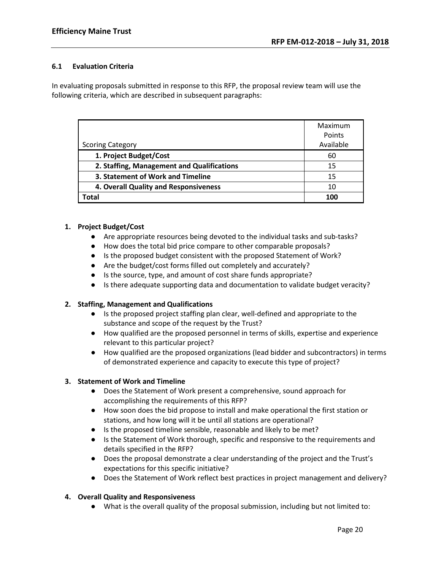# **6.1 Evaluation Criteria**

In evaluating proposals submitted in response to this RFP, the proposal review team will use the following criteria, which are described in subsequent paragraphs:

|                                            | Maximum<br>Points |
|--------------------------------------------|-------------------|
| <b>Scoring Category</b>                    | Available         |
| 1. Project Budget/Cost                     | 60                |
| 2. Staffing, Management and Qualifications | 15                |
| 3. Statement of Work and Timeline          | 15                |
| 4. Overall Quality and Responsiveness      | 10                |
| <b>Total</b>                               | 100               |

#### **1. Project Budget/Cost**

- Are appropriate resources being devoted to the individual tasks and sub-tasks?
- How does the total bid price compare to other comparable proposals?
- Is the proposed budget consistent with the proposed Statement of Work?
- Are the budget/cost forms filled out completely and accurately?
- Is the source, type, and amount of cost share funds appropriate?
- Is there adequate supporting data and documentation to validate budget veracity?

# **2. Staffing, Management and Qualifications**

- Is the proposed project staffing plan clear, well-defined and appropriate to the substance and scope of the request by the Trust?
- How qualified are the proposed personnel in terms of skills, expertise and experience relevant to this particular project?
- How qualified are the proposed organizations (lead bidder and subcontractors) in terms of demonstrated experience and capacity to execute this type of project?

# **3. Statement of Work and Timeline**

- Does the Statement of Work present a comprehensive, sound approach for accomplishing the requirements of this RFP?
- How soon does the bid propose to install and make operational the first station or stations, and how long will it be until all stations are operational?
- Is the proposed timeline sensible, reasonable and likely to be met?
- Is the Statement of Work thorough, specific and responsive to the requirements and details specified in the RFP?
- Does the proposal demonstrate a clear understanding of the project and the Trust's expectations for this specific initiative?
- Does the Statement of Work reflect best practices in project management and delivery?

# **4. Overall Quality and Responsiveness**

● What is the overall quality of the proposal submission, including but not limited to: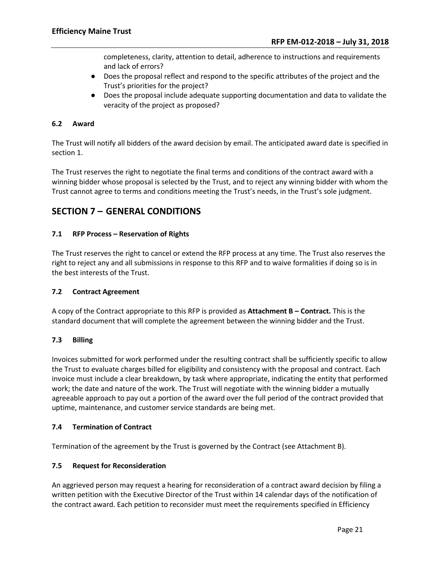completeness, clarity, attention to detail, adherence to instructions and requirements and lack of errors?

- Does the proposal reflect and respond to the specific attributes of the project and the Trust's priorities for the project?
- Does the proposal include adequate supporting documentation and data to validate the veracity of the project as proposed?

# **6.2 Award**

The Trust will notify all bidders of the award decision by email. The anticipated award date is specified in section 1.

The Trust reserves the right to negotiate the final terms and conditions of the contract award with a winning bidder whose proposal is selected by the Trust, and to reject any winning bidder with whom the Trust cannot agree to terms and conditions meeting the Trust's needs, in the Trust's sole judgment.

# <span id="page-20-0"></span>**SECTION 7 – GENERAL CONDITIONS**

# **7.1 RFP Process – Reservation of Rights**

The Trust reserves the right to cancel or extend the RFP process at any time. The Trust also reserves the right to reject any and all submissions in response to this RFP and to waive formalities if doing so is in the best interests of the Trust.

#### **7.2 Contract Agreement**

A copy of the Contract appropriate to this RFP is provided as **Attachment B – Contract.** This is the standard document that will complete the agreement between the winning bidder and the Trust.

# **7.3 Billing**

Invoices submitted for work performed under the resulting contract shall be sufficiently specific to allow the Trust to evaluate charges billed for eligibility and consistency with the proposal and contract. Each invoice must include a clear breakdown, by task where appropriate, indicating the entity that performed work; the date and nature of the work. The Trust will negotiate with the winning bidder a mutually agreeable approach to pay out a portion of the award over the full period of the contract provided that uptime, maintenance, and customer service standards are being met.

# **7.4 Termination of Contract**

Termination of the agreement by the Trust is governed by the Contract (see Attachment B).

#### **7.5 Request for Reconsideration**

An aggrieved person may request a hearing for reconsideration of a contract award decision by filing a written petition with the Executive Director of the Trust within 14 calendar days of the notification of the contract award. Each petition to reconsider must meet the requirements specified in Efficiency